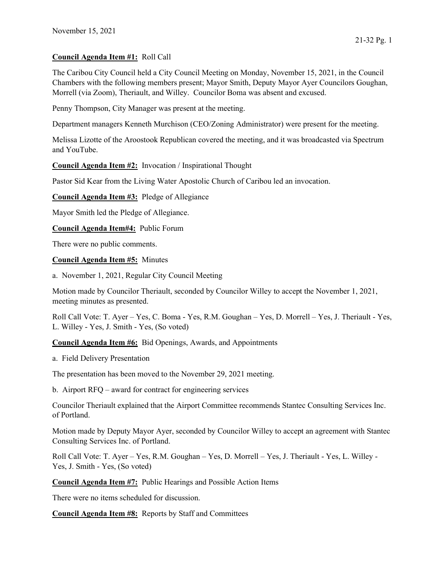## Council Agenda Item #1: Roll Call

The Caribou City Council held a City Council Meeting on Monday, November 15, 2021, in the Council Chambers with the following members present; Mayor Smith, Deputy Mayor Ayer Councilors Goughan, Morrell (via Zoom), Theriault, and Willey. Councilor Boma was absent and excused.

Penny Thompson, City Manager was present at the meeting.

Department managers Kenneth Murchison (CEO/Zoning Administrator) were present for the meeting.

Melissa Lizotte of the Aroostook Republican covered the meeting, and it was broadcasted via Spectrum and YouTube.

Council Agenda Item #2: Invocation / Inspirational Thought

Pastor Sid Kear from the Living Water Apostolic Church of Caribou led an invocation.

Council Agenda Item #3: Pledge of Allegiance

Mayor Smith led the Pledge of Allegiance.

Council Agenda Item#4: Public Forum

There were no public comments.

## Council Agenda Item #5: Minutes

a. November 1, 2021, Regular City Council Meeting

Motion made by Councilor Theriault, seconded by Councilor Willey to accept the November 1, 2021, meeting minutes as presented.

Roll Call Vote: T. Ayer – Yes, C. Boma - Yes, R.M. Goughan – Yes, D. Morrell – Yes, J. Theriault - Yes, L. Willey - Yes, J. Smith - Yes, (So voted)

Council Agenda Item #6: Bid Openings, Awards, and Appointments

a. Field Delivery Presentation

The presentation has been moved to the November 29, 2021 meeting.

b. Airport RFQ – award for contract for engineering services

Councilor Theriault explained that the Airport Committee recommends Stantec Consulting Services Inc. of Portland.

Motion made by Deputy Mayor Ayer, seconded by Councilor Willey to accept an agreement with Stantec Consulting Services Inc. of Portland.

Roll Call Vote: T. Ayer – Yes, R.M. Goughan – Yes, D. Morrell – Yes, J. Theriault - Yes, L. Willey - Yes, J. Smith - Yes, (So voted)

Council Agenda Item #7: Public Hearings and Possible Action Items

There were no items scheduled for discussion.

Council Agenda Item #8: Reports by Staff and Committees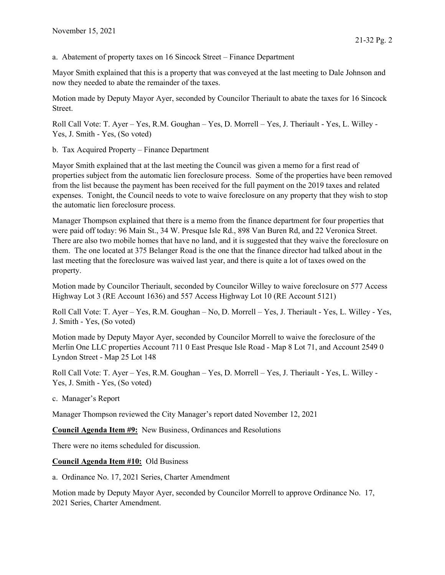a. Abatement of property taxes on 16 Sincock Street – Finance Department

Mayor Smith explained that this is a property that was conveyed at the last meeting to Dale Johnson and now they needed to abate the remainder of the taxes.

Motion made by Deputy Mayor Ayer, seconded by Councilor Theriault to abate the taxes for 16 Sincock Street.

Roll Call Vote: T. Ayer – Yes, R.M. Goughan – Yes, D. Morrell – Yes, J. Theriault - Yes, L. Willey - Yes, J. Smith - Yes, (So voted)

b. Tax Acquired Property – Finance Department

Mayor Smith explained that at the last meeting the Council was given a memo for a first read of properties subject from the automatic lien foreclosure process. Some of the properties have been removed from the list because the payment has been received for the full payment on the 2019 taxes and related expenses. Tonight, the Council needs to vote to waive foreclosure on any property that they wish to stop the automatic lien foreclosure process.

Manager Thompson explained that there is a memo from the finance department for four properties that were paid off today: 96 Main St., 34 W. Presque Isle Rd., 898 Van Buren Rd, and 22 Veronica Street. There are also two mobile homes that have no land, and it is suggested that they waive the foreclosure on them. The one located at 375 Belanger Road is the one that the finance director had talked about in the last meeting that the foreclosure was waived last year, and there is quite a lot of taxes owed on the property.

Motion made by Councilor Theriault, seconded by Councilor Willey to waive foreclosure on 577 Access Highway Lot 3 (RE Account 1636) and 557 Access Highway Lot 10 (RE Account 5121)

Roll Call Vote: T. Ayer – Yes, R.M. Goughan – No, D. Morrell – Yes, J. Theriault - Yes, L. Willey - Yes, J. Smith - Yes, (So voted)

Motion made by Deputy Mayor Ayer, seconded by Councilor Morrell to waive the foreclosure of the Merlin One LLC properties Account 711 0 East Presque Isle Road - Map 8 Lot 71, and Account 2549 0 Lyndon Street - Map 25 Lot 148

Roll Call Vote: T. Ayer – Yes, R.M. Goughan – Yes, D. Morrell – Yes, J. Theriault - Yes, L. Willey - Yes, J. Smith - Yes, (So voted)

c. Manager's Report

Manager Thompson reviewed the City Manager's report dated November 12, 2021

Council Agenda Item #9: New Business, Ordinances and Resolutions

There were no items scheduled for discussion.

## Council Agenda Item #10: Old Business

a. Ordinance No. 17, 2021 Series, Charter Amendment

Motion made by Deputy Mayor Ayer, seconded by Councilor Morrell to approve Ordinance No. 17, 2021 Series, Charter Amendment.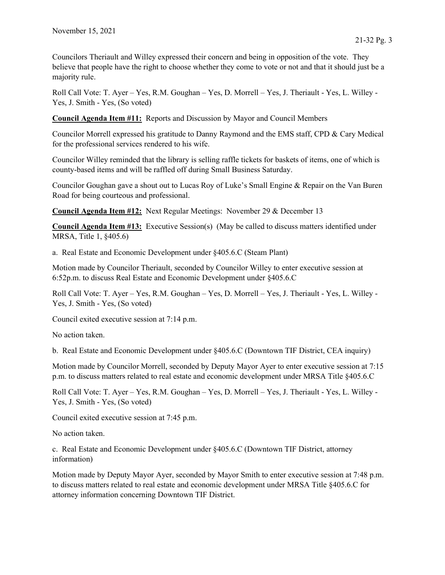Councilors Theriault and Willey expressed their concern and being in opposition of the vote. They believe that people have the right to choose whether they come to vote or not and that it should just be a majority rule.

Roll Call Vote: T. Ayer – Yes, R.M. Goughan – Yes, D. Morrell – Yes, J. Theriault - Yes, L. Willey - Yes, J. Smith - Yes, (So voted)

Council Agenda Item #11: Reports and Discussion by Mayor and Council Members

Councilor Morrell expressed his gratitude to Danny Raymond and the EMS staff, CPD & Cary Medical for the professional services rendered to his wife.

Councilor Willey reminded that the library is selling raffle tickets for baskets of items, one of which is county-based items and will be raffled off during Small Business Saturday.

Councilor Goughan gave a shout out to Lucas Roy of Luke's Small Engine & Repair on the Van Buren Road for being courteous and professional.

Council Agenda Item #12: Next Regular Meetings: November 29 & December 13

Council Agenda Item #13: Executive Session(s) (May be called to discuss matters identified under MRSA, Title 1, §405.6)

a. Real Estate and Economic Development under §405.6.C (Steam Plant)

Motion made by Councilor Theriault, seconded by Councilor Willey to enter executive session at 6:52p.m. to discuss Real Estate and Economic Development under §405.6.C

Roll Call Vote: T. Ayer – Yes, R.M. Goughan – Yes, D. Morrell – Yes, J. Theriault - Yes, L. Willey - Yes, J. Smith - Yes, (So voted)

Council exited executive session at 7:14 p.m.

No action taken.

b. Real Estate and Economic Development under §405.6.C (Downtown TIF District, CEA inquiry)

Motion made by Councilor Morrell, seconded by Deputy Mayor Ayer to enter executive session at 7:15 p.m. to discuss matters related to real estate and economic development under MRSA Title §405.6.C

Roll Call Vote: T. Ayer – Yes, R.M. Goughan – Yes, D. Morrell – Yes, J. Theriault - Yes, L. Willey - Yes, J. Smith - Yes, (So voted)

Council exited executive session at 7:45 p.m.

No action taken.

c. Real Estate and Economic Development under §405.6.C (Downtown TIF District, attorney information)

Motion made by Deputy Mayor Ayer, seconded by Mayor Smith to enter executive session at 7:48 p.m. to discuss matters related to real estate and economic development under MRSA Title §405.6.C for attorney information concerning Downtown TIF District.